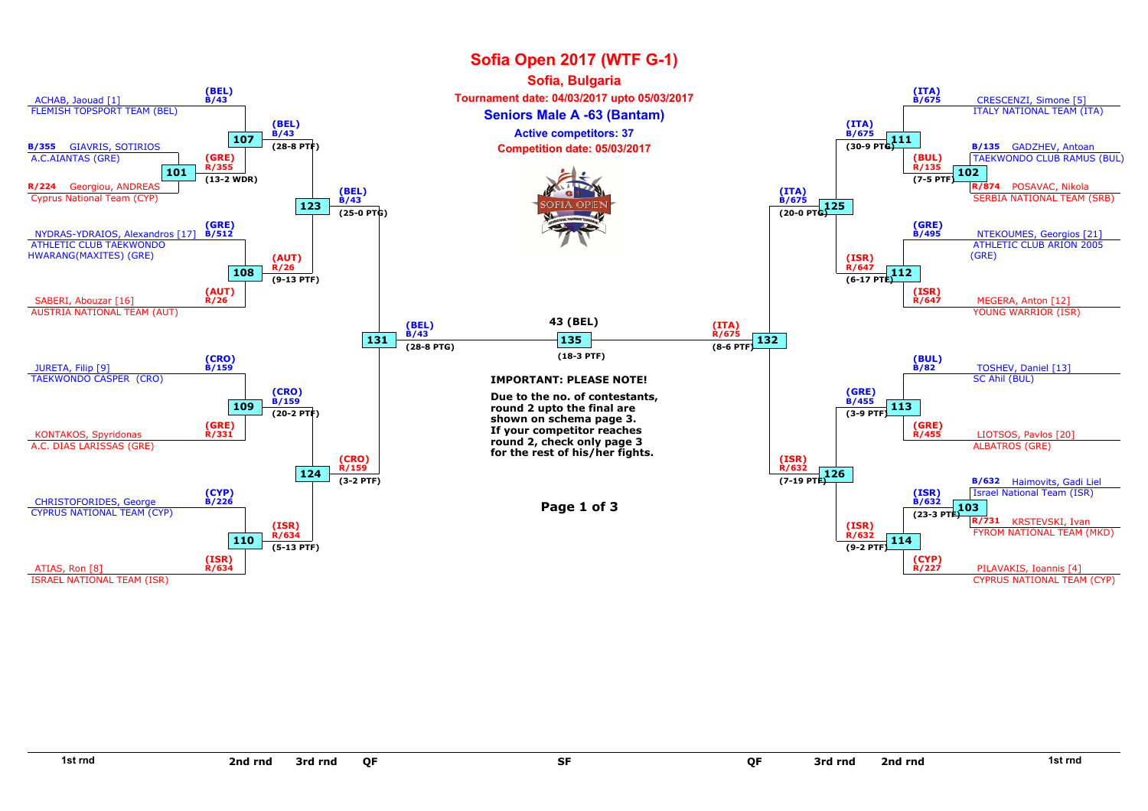

SF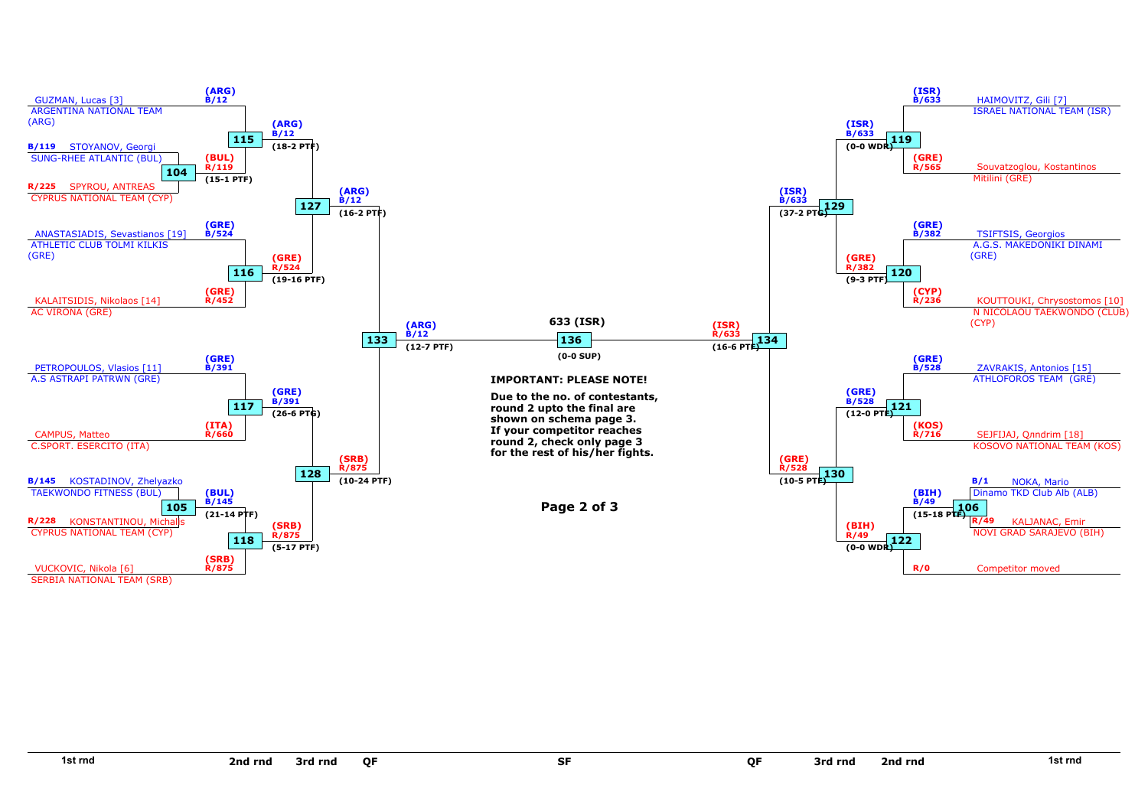

SF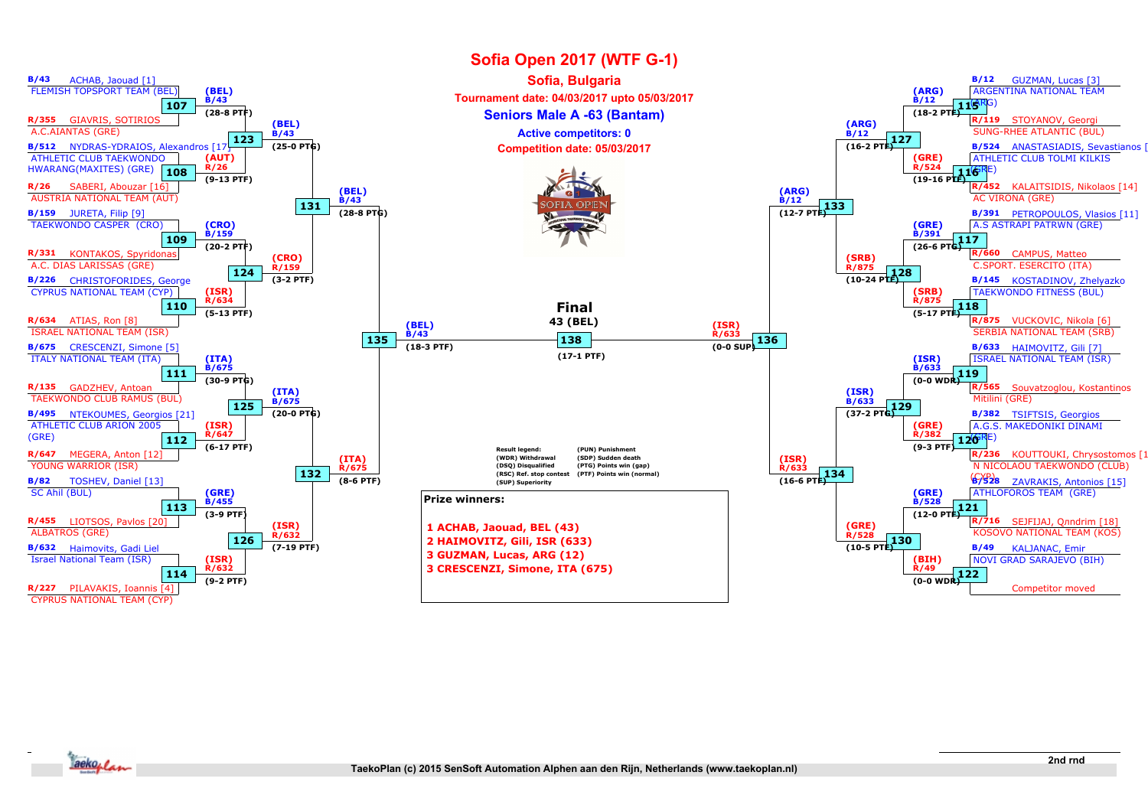

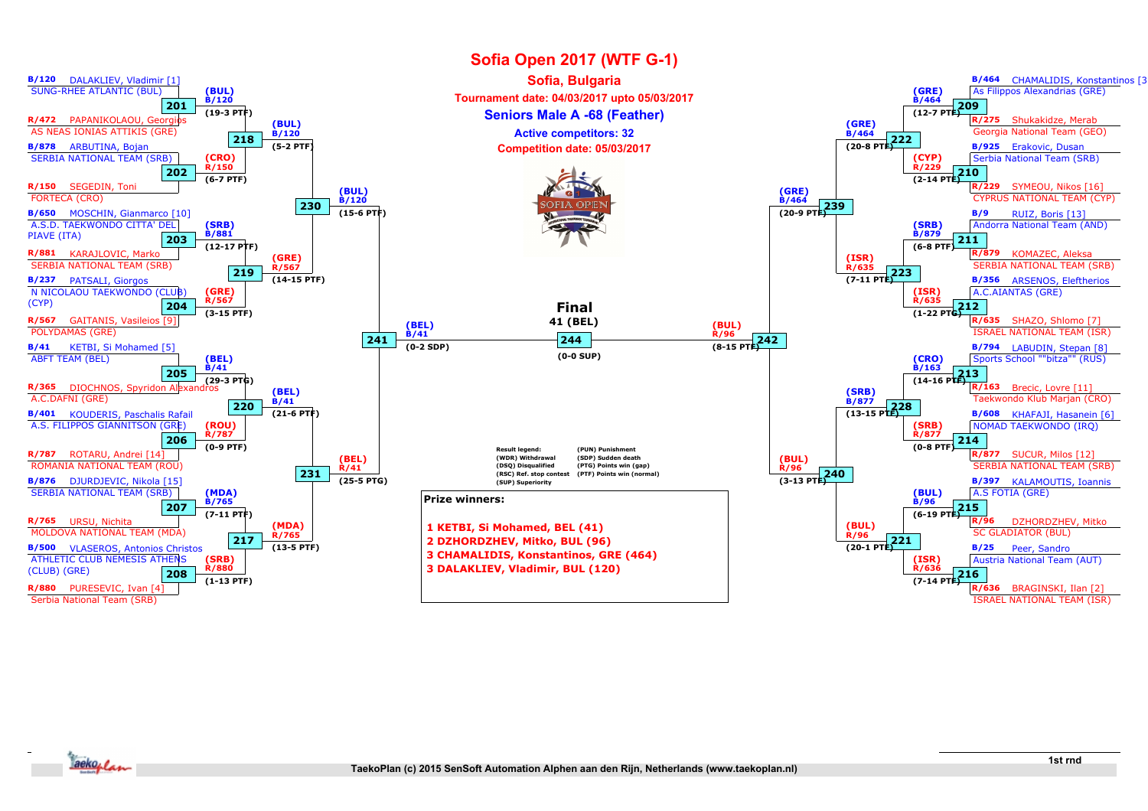

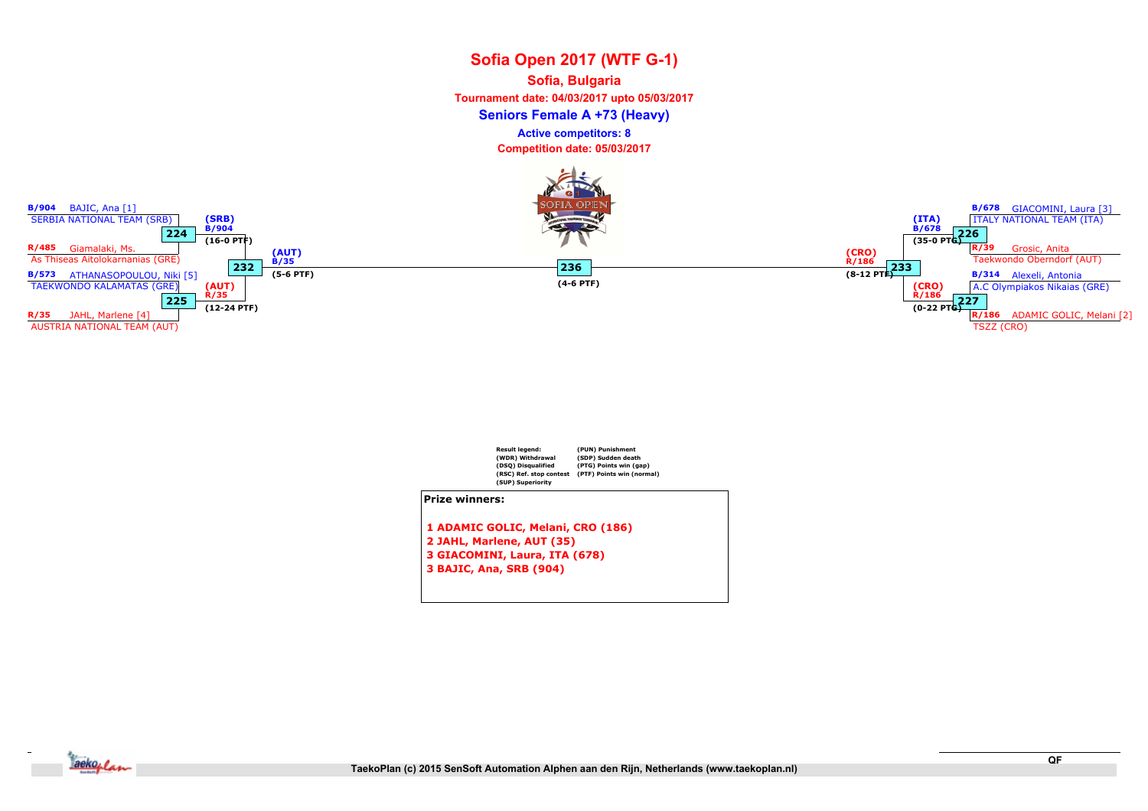# Sofia Open 2017 (WTF G-1) Seniors Female A +73 (Heavy) Sofia, Bulgaria Tournament date: 04/03/2017 upto 05/03/2017 Competition date: 05/03/2017 Active competitors: 8





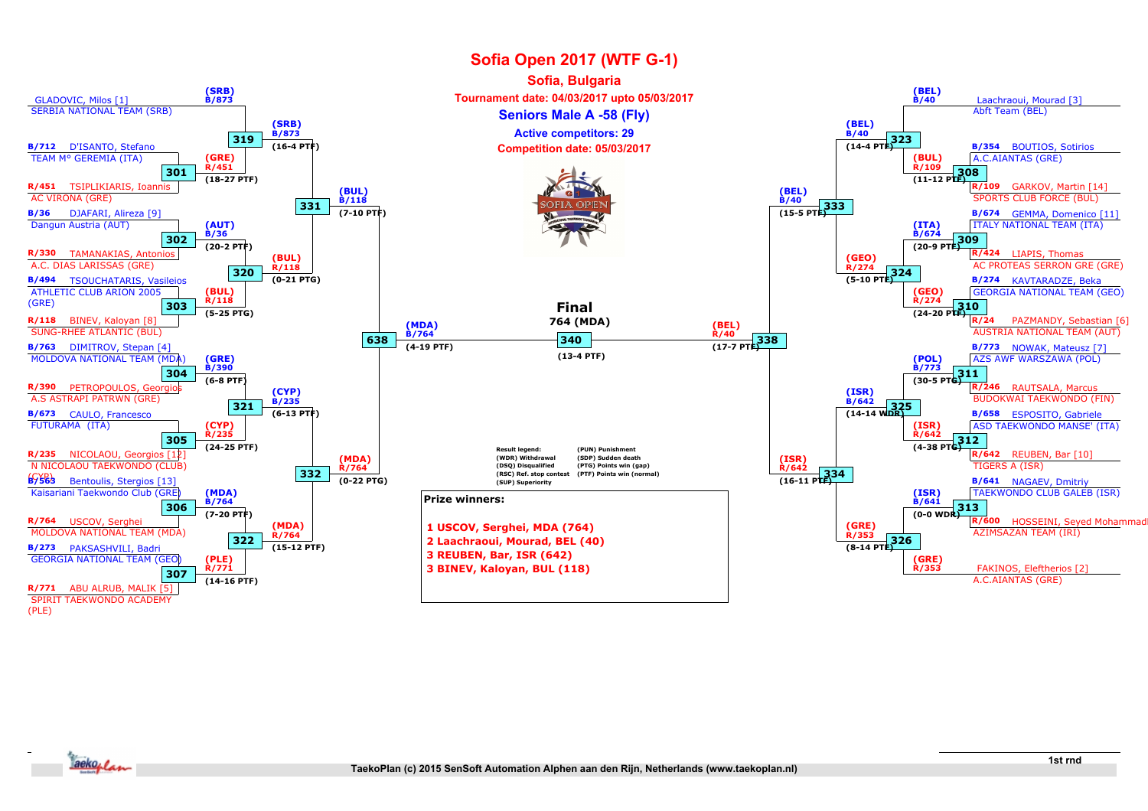

(PLE)

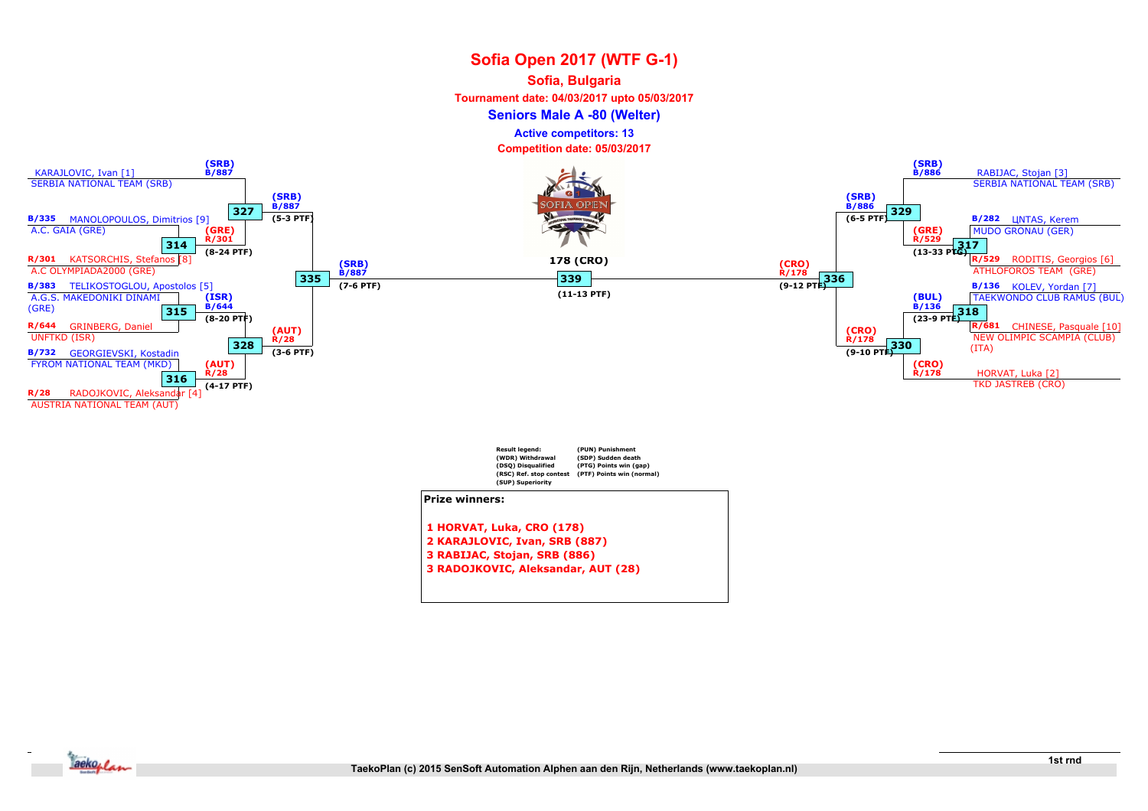#### Sofia, Bulgaria

Tournament date: 04/03/2017 upto 05/03/2017

Seniors Male A -80 (Welter)

Active competitors: 13

Competition date: 05/03/2017



- 2 KARAJLOVIC, Ivan, SRB (887) 3 RABIJAC, Stojan, SRB (886)
- 
- 3 RADOJKOVIC, Aleksandar, AUT (28)

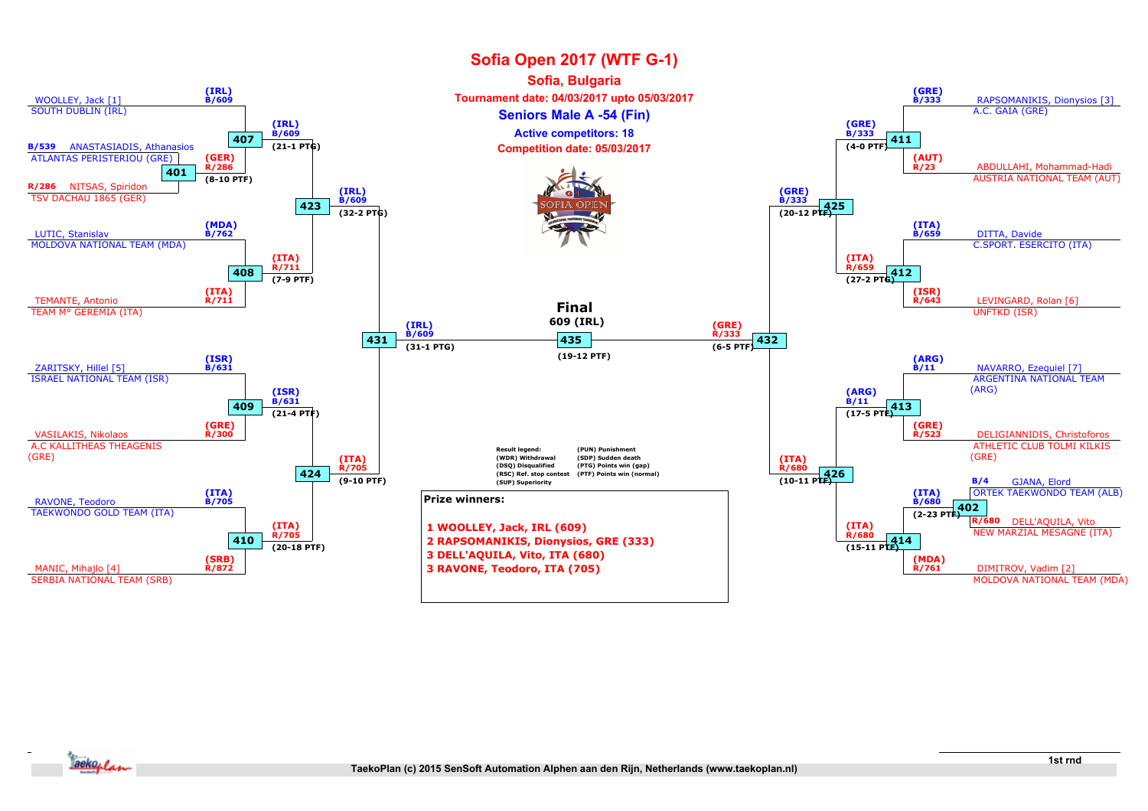

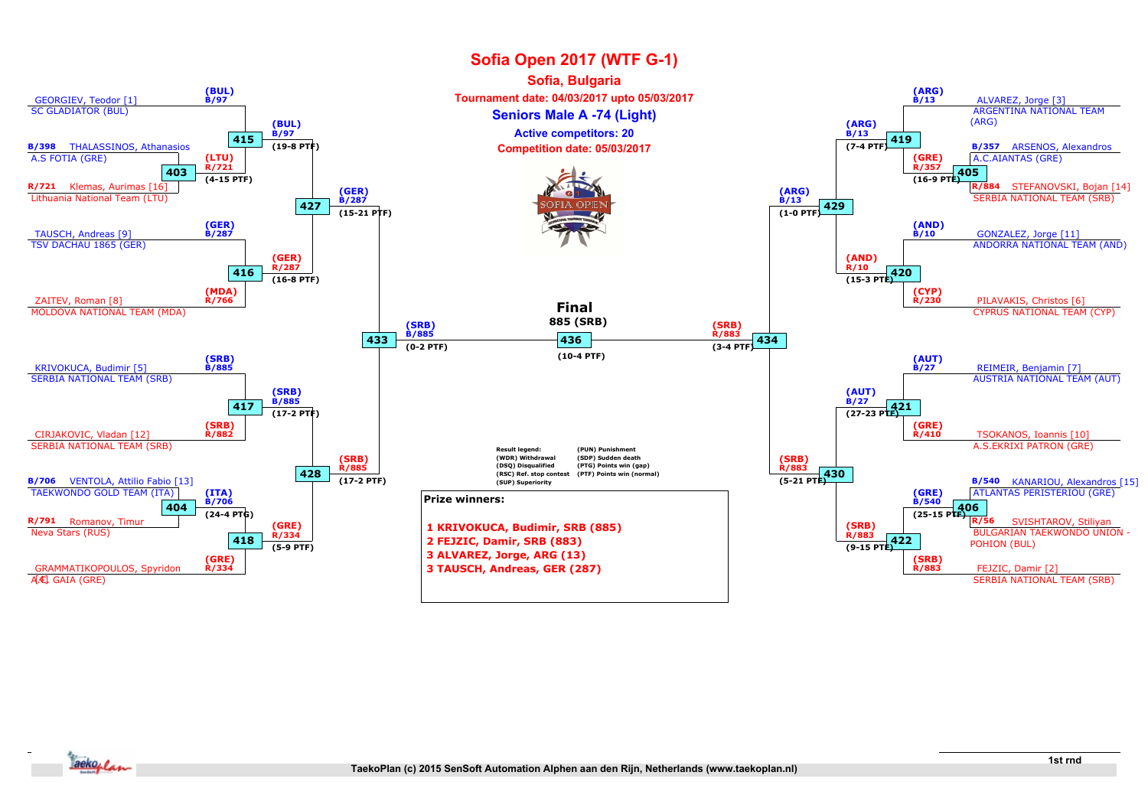

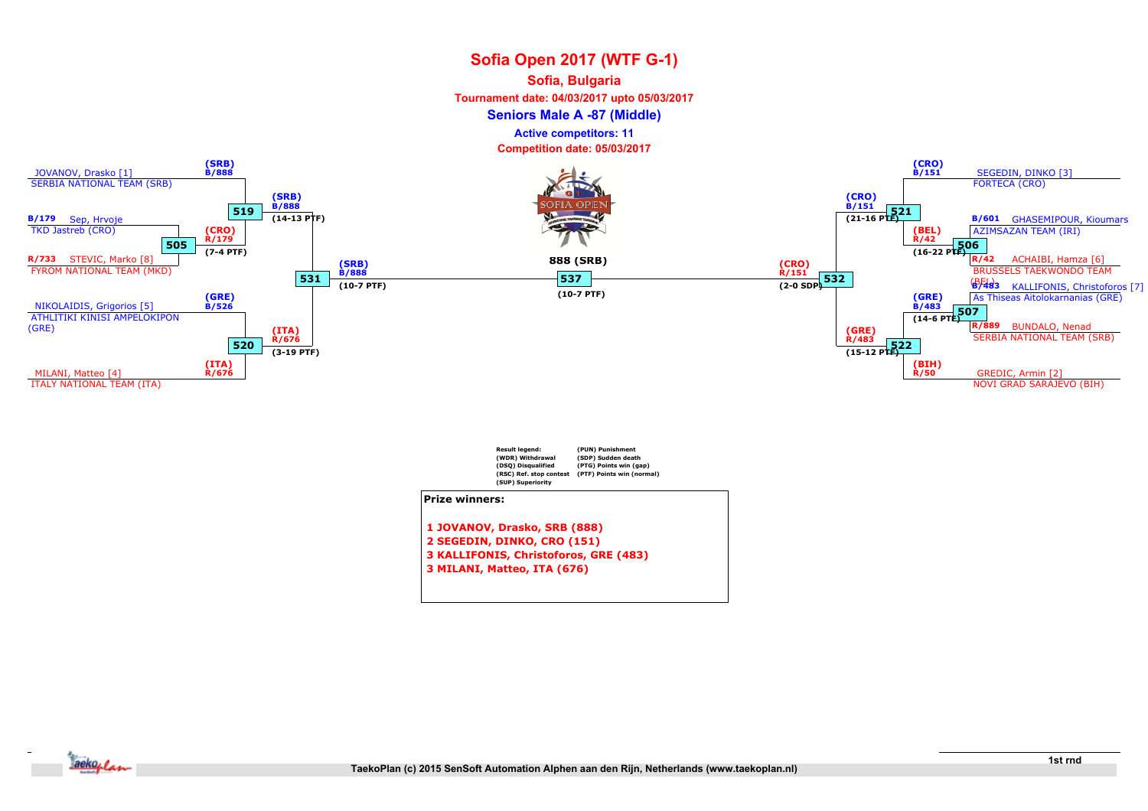### Sofia, Bulgaria

Tournament date: 04/03/2017 upto 05/03/2017

Seniors Male A -87 (Middle)

Active competitors: 11

Competition date: 05/03/2017





3 MILANI, Matteo, ITA (676)

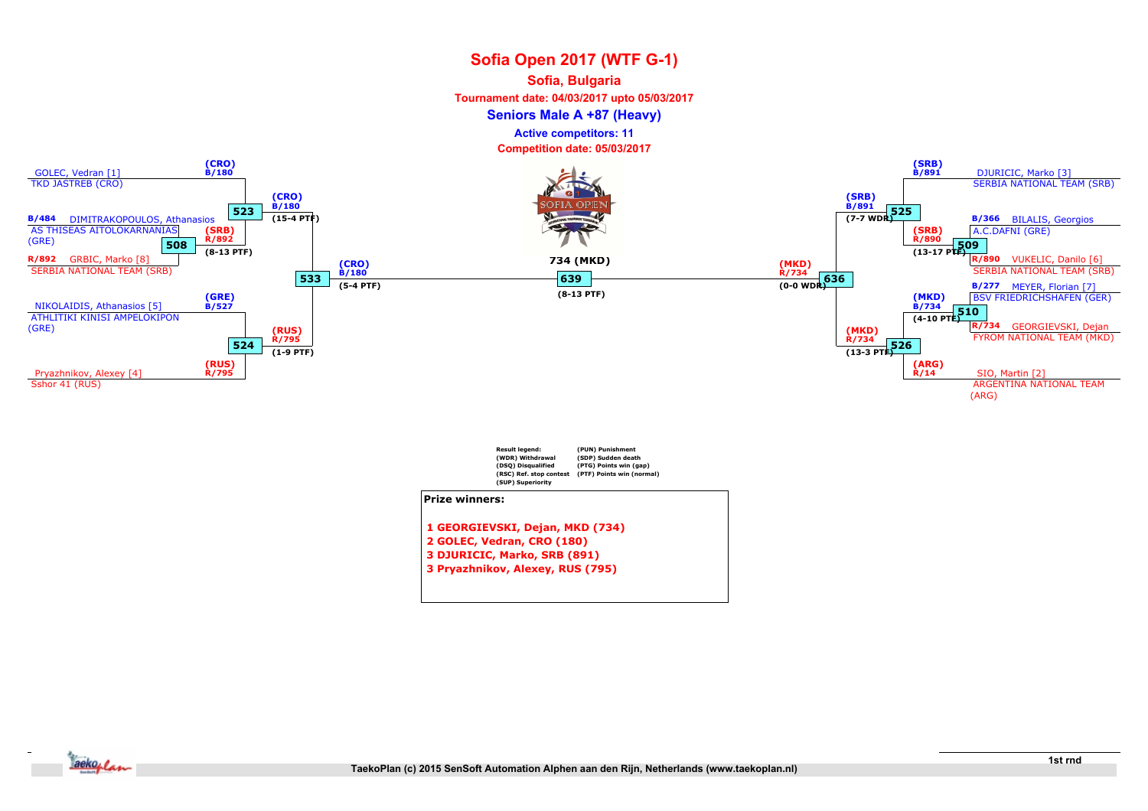### Sofia, Bulgaria

Tournament date: 04/03/2017 upto 05/03/2017

Seniors Male A +87 (Heavy)

Active competitors: 11

Competition date: 05/03/2017



Prize winners:

1 GEORGIEVSKI, Dejan, MKD (734) 2 GOLEC, Vedran, CRO (180) 3 DJURICIC, Marko, SRB (891) 3 Pryazhnikov, Alexey, RUS (795)

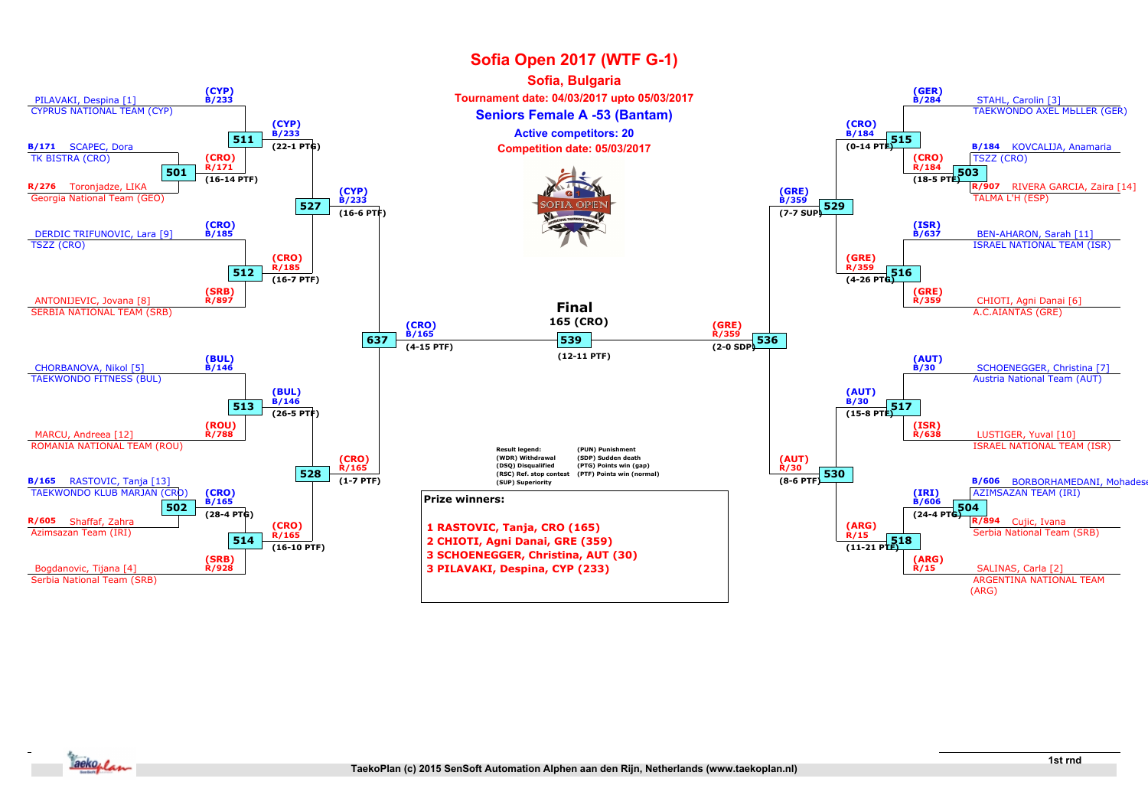

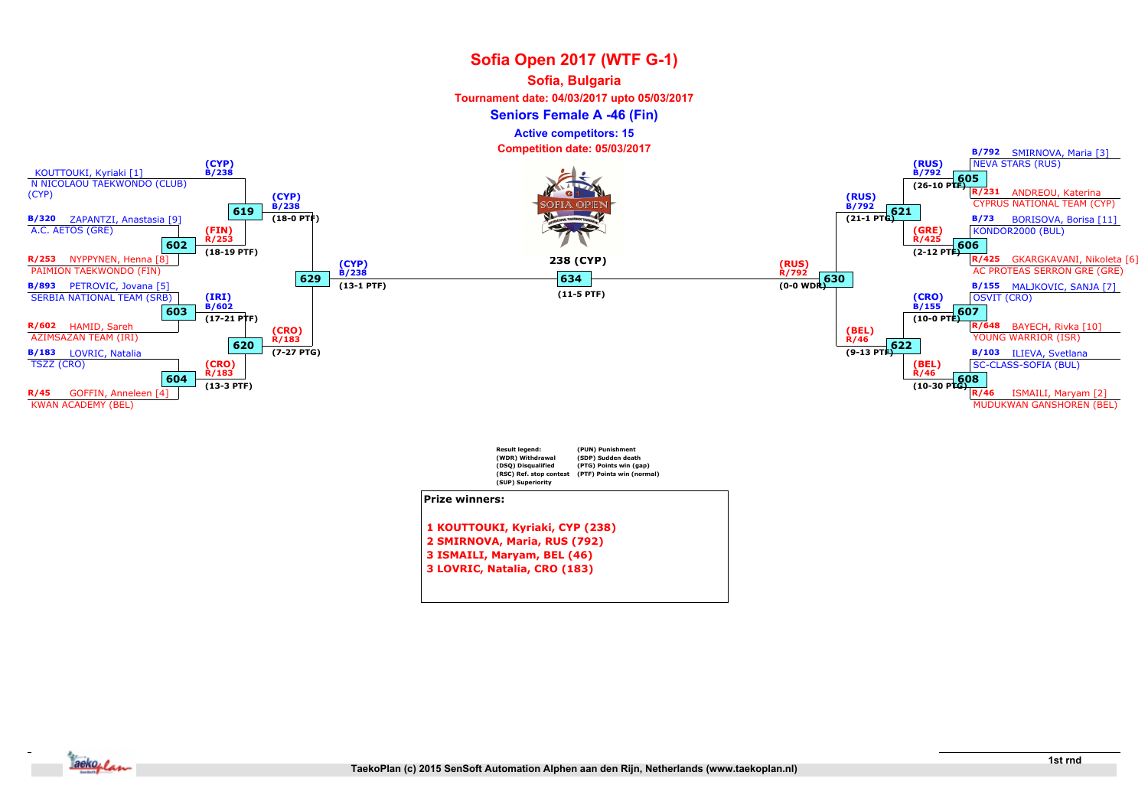#### Sofia, Bulgaria

Tournament date: 04/03/2017 upto 05/03/2017

Seniors Female A -46 (Fin)

Active competitors: 15

Competition date: 05/03/2017



- 2 SMIRNOVA, Maria, RUS (792)
- 3 ISMAILI, Maryam, BEL (46)
- 3 LOVRIC, Natalia, CRO (183)

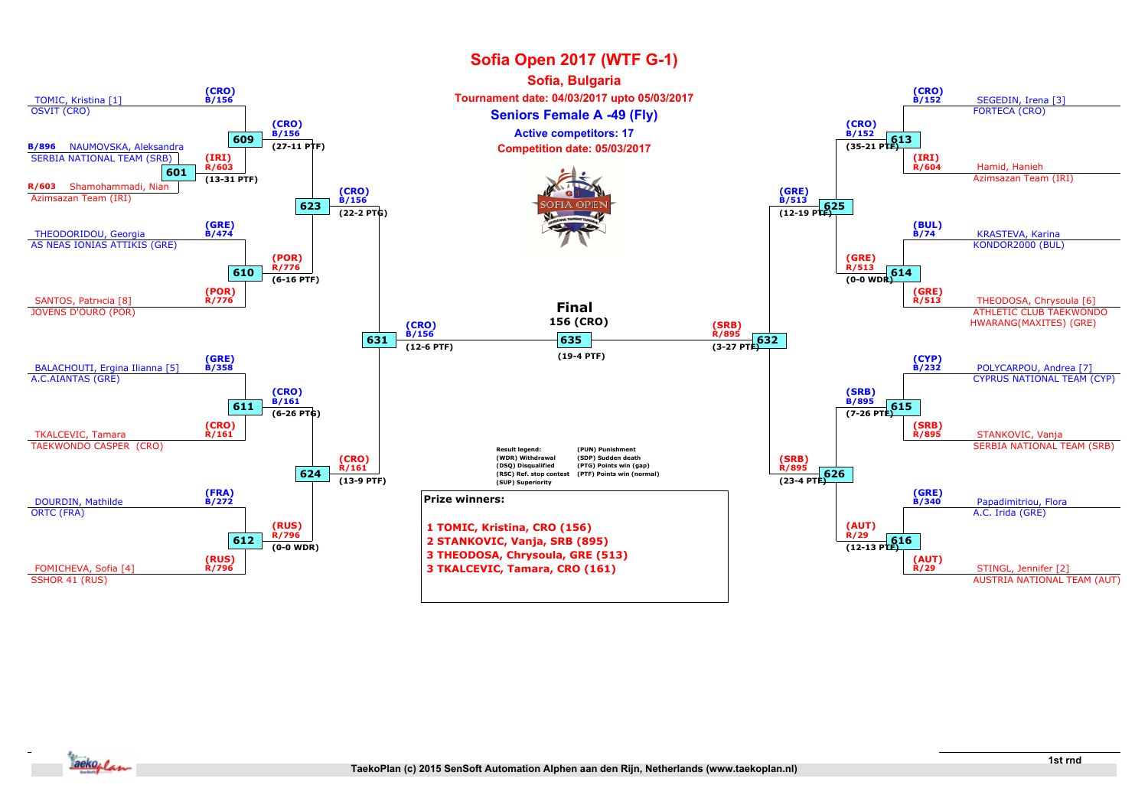

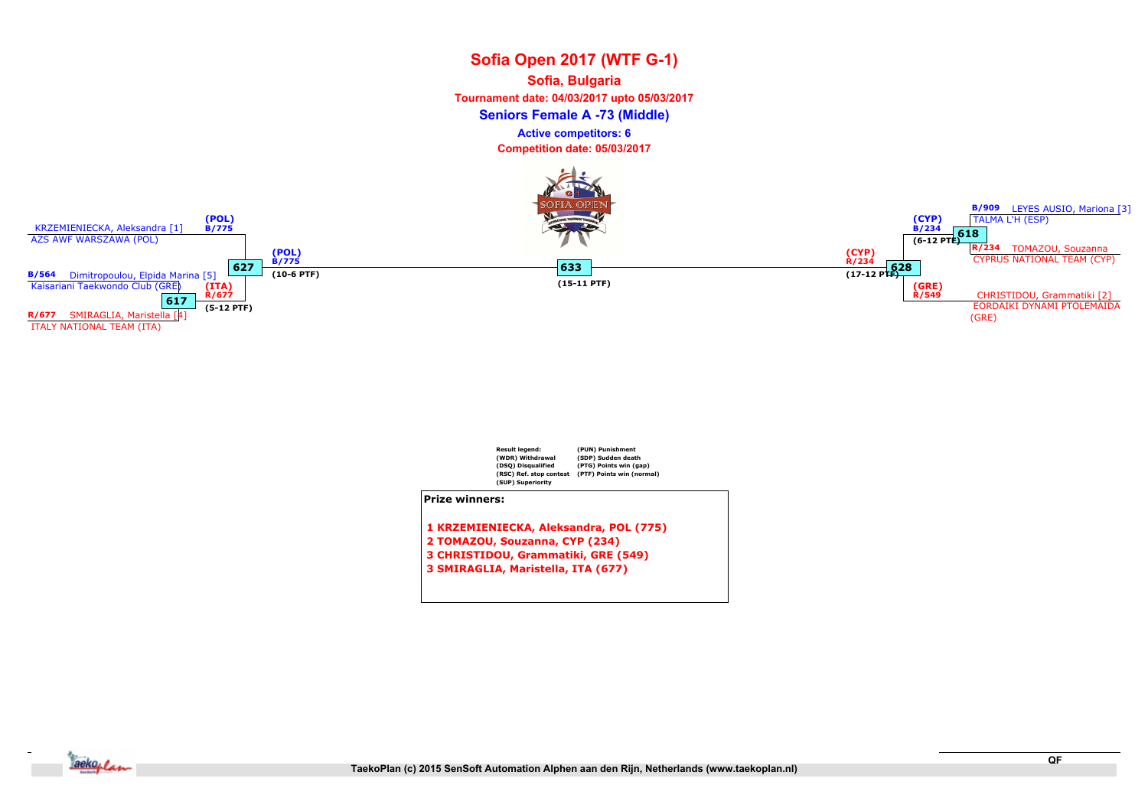# Sofia Open 2017 (WTF G-1) Seniors Female A -73 (Middle) Sofia, Bulgaria Tournament date: 04/03/2017 upto 05/03/2017 Competition date: 05/03/2017 Active competitors: 6





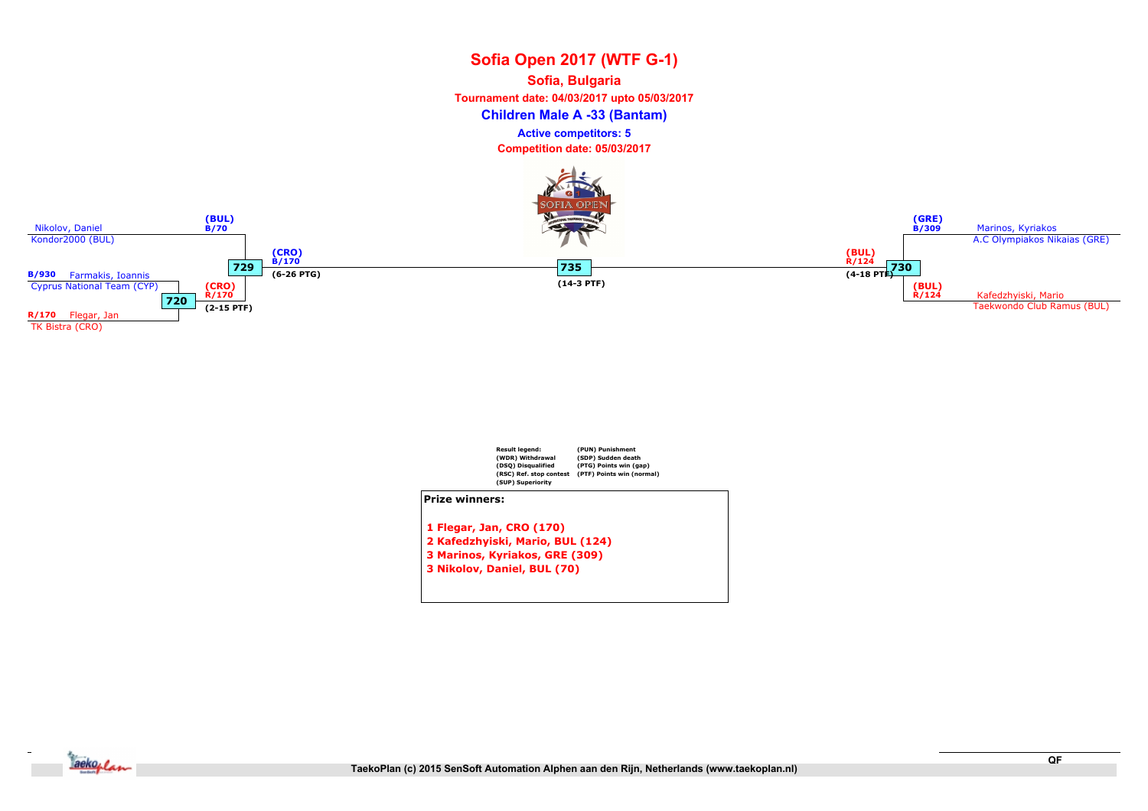# Sofia Open 2017 (WTF G-1) Children Male A -33 (Bantam) Sofia, Bulgaria Tournament date: 04/03/2017 upto 05/03/2017 Competition date: 05/03/2017 Active competitors: 5





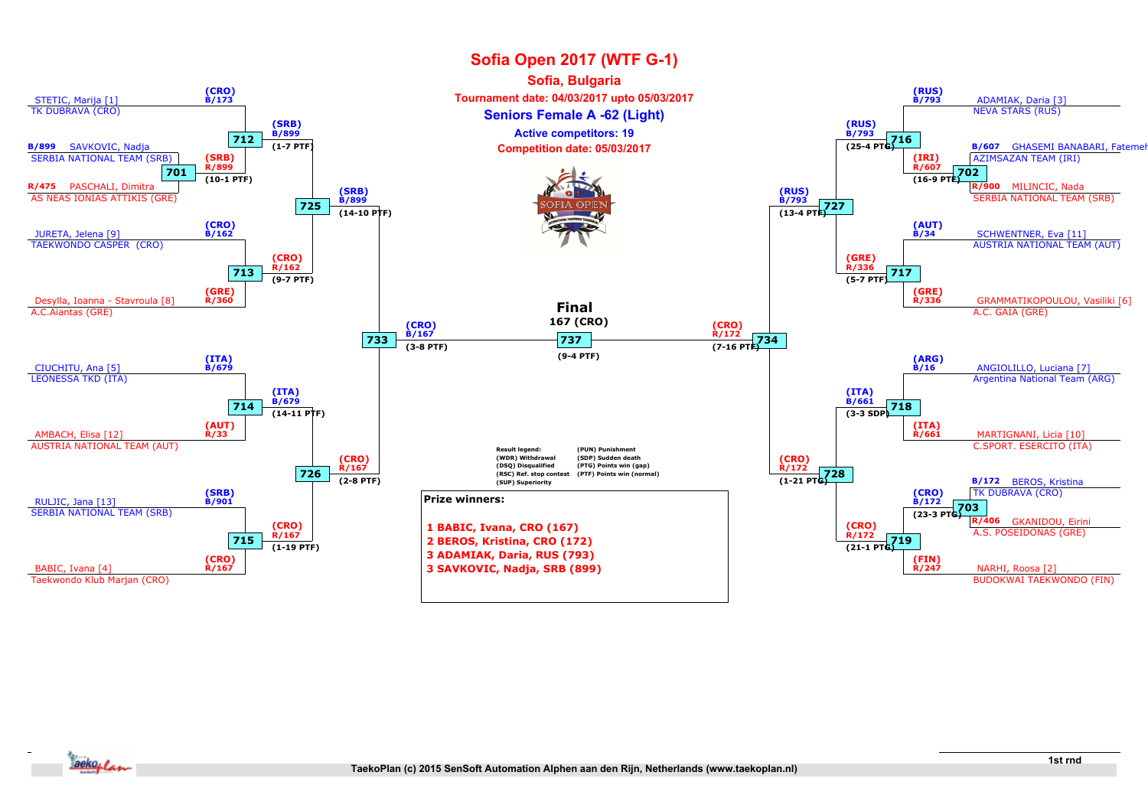

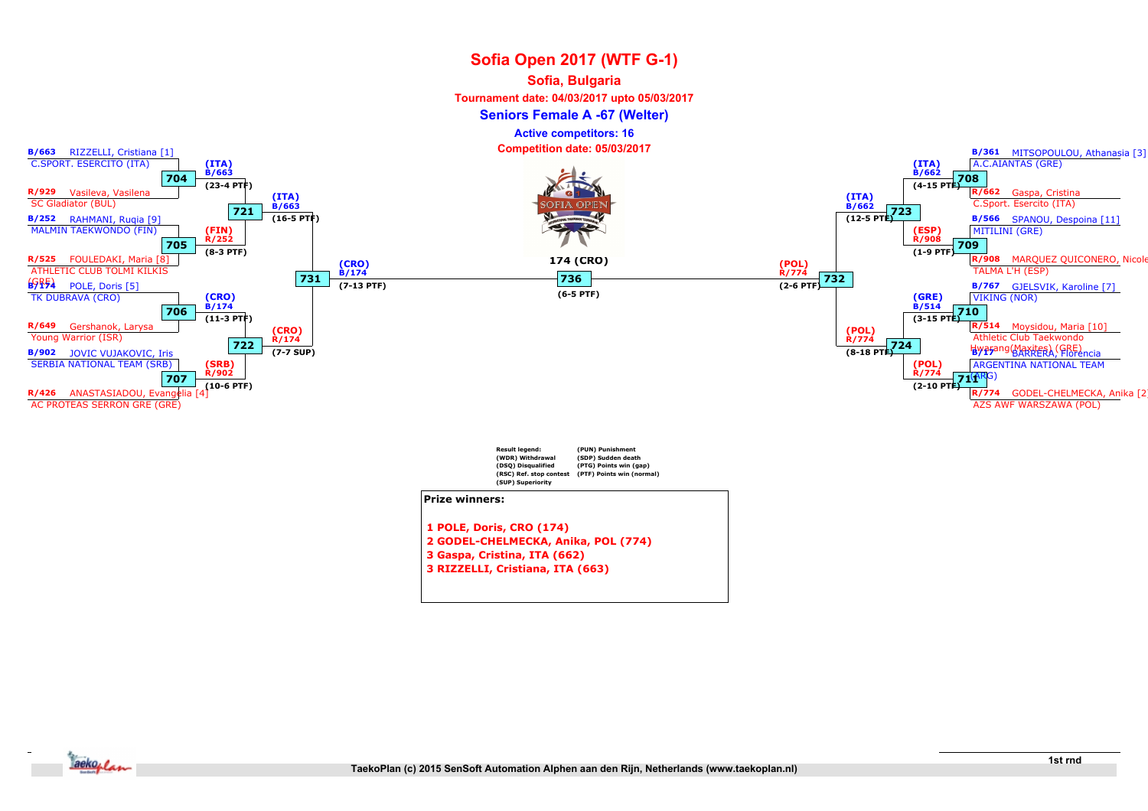### Sofia, Bulgaria

Tournament date: 04/03/2017 upto 05/03/2017

Seniors Female A -67 (Welter)

Active competitors: 16

Competition date: 05/03/2017



3 Gaspa, Cristina, ITA (662)

3 RIZZELLI, Cristiana, ITA (663)

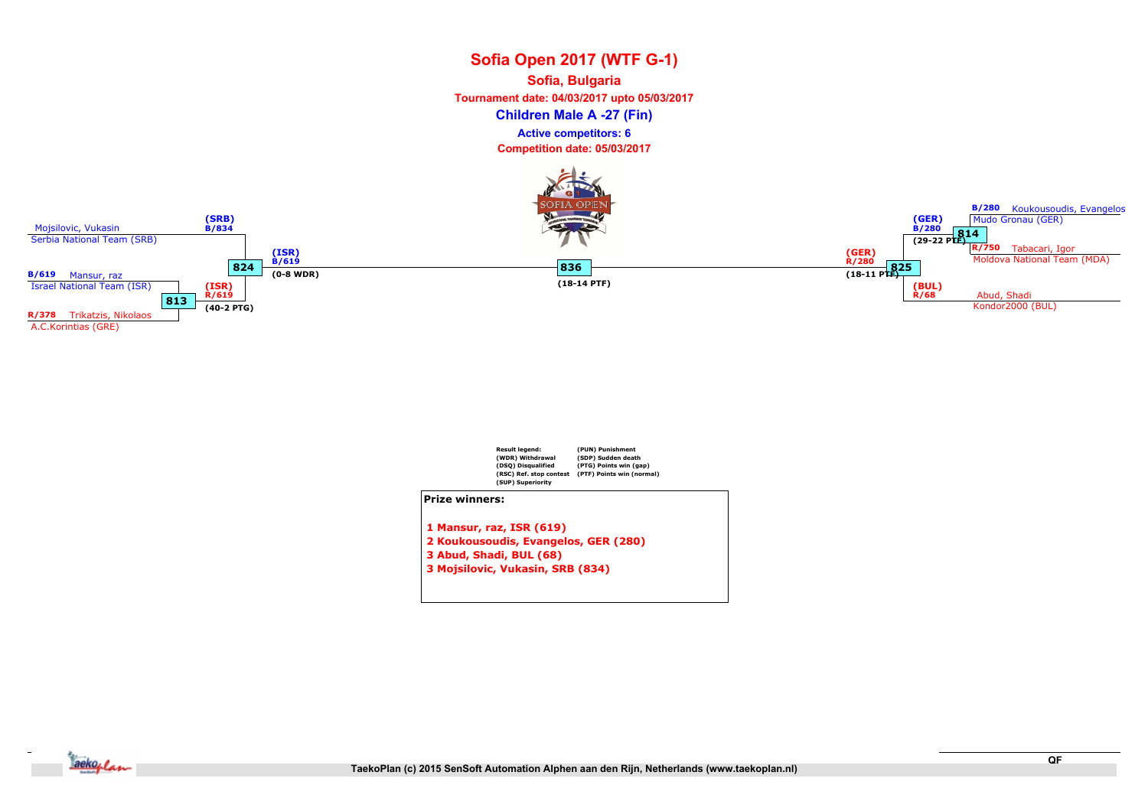# Sofia Open 2017 (WTF G-1) Children Male A -27 (Fin) Sofia, Bulgaria Tournament date: 04/03/2017 upto 05/03/2017 Active competitors: 6

Competition date: 05/03/2017





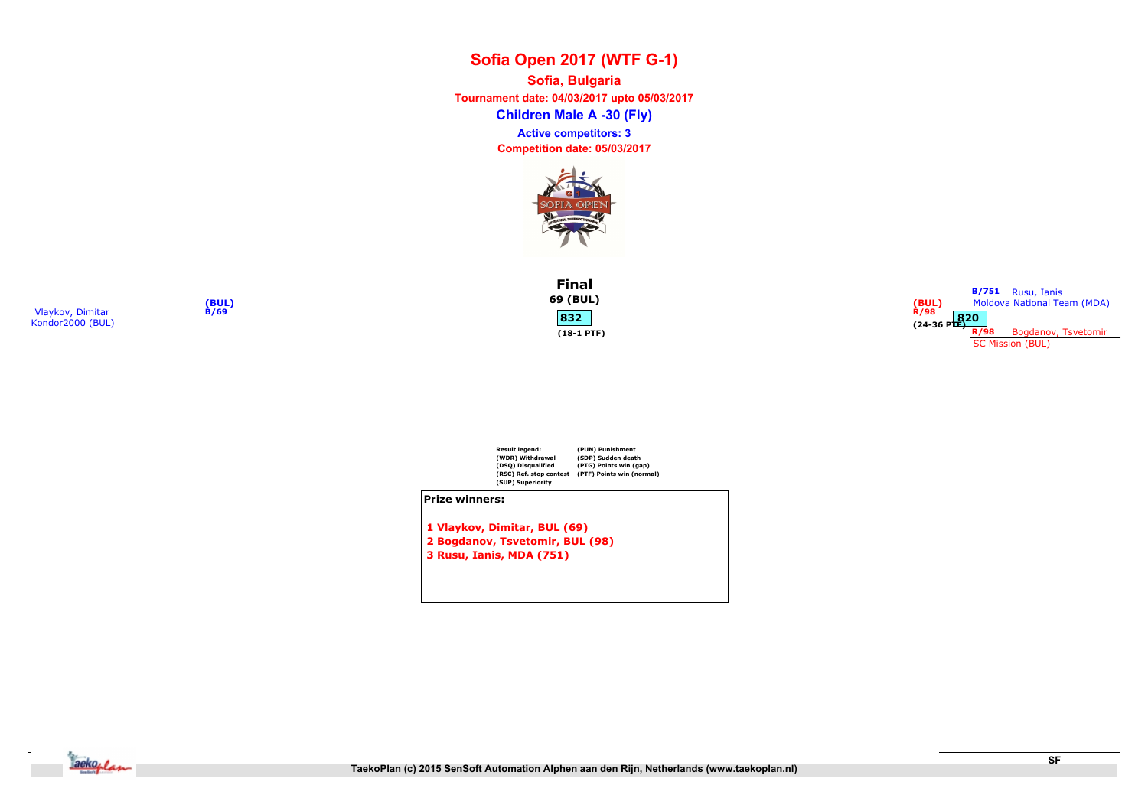Children Male A -30 (Fly) Sofia, Bulgaria Tournament date: 04/03/2017 upto 05/03/2017 Competition date: 05/03/2017 Active competitors: 3



| (BUL)                           | Final<br>69 (BUL) | <b>B/751</b> Rusu, Ianis<br>(BUL)<br>Moldova National Team (MDA) |
|---------------------------------|-------------------|------------------------------------------------------------------|
| Vlaykov, Dimitar<br><b>B/69</b> | 832               | R/98                                                             |
| Kondor2000 (BUL)                |                   | $\frac{R/56}{(24-36 \text{ PTF})}$ R/98                          |
|                                 | $(18-1$ PTF)      | Bogdanov, Tsvetomir<br><b>SC Mission (BUL)</b>                   |



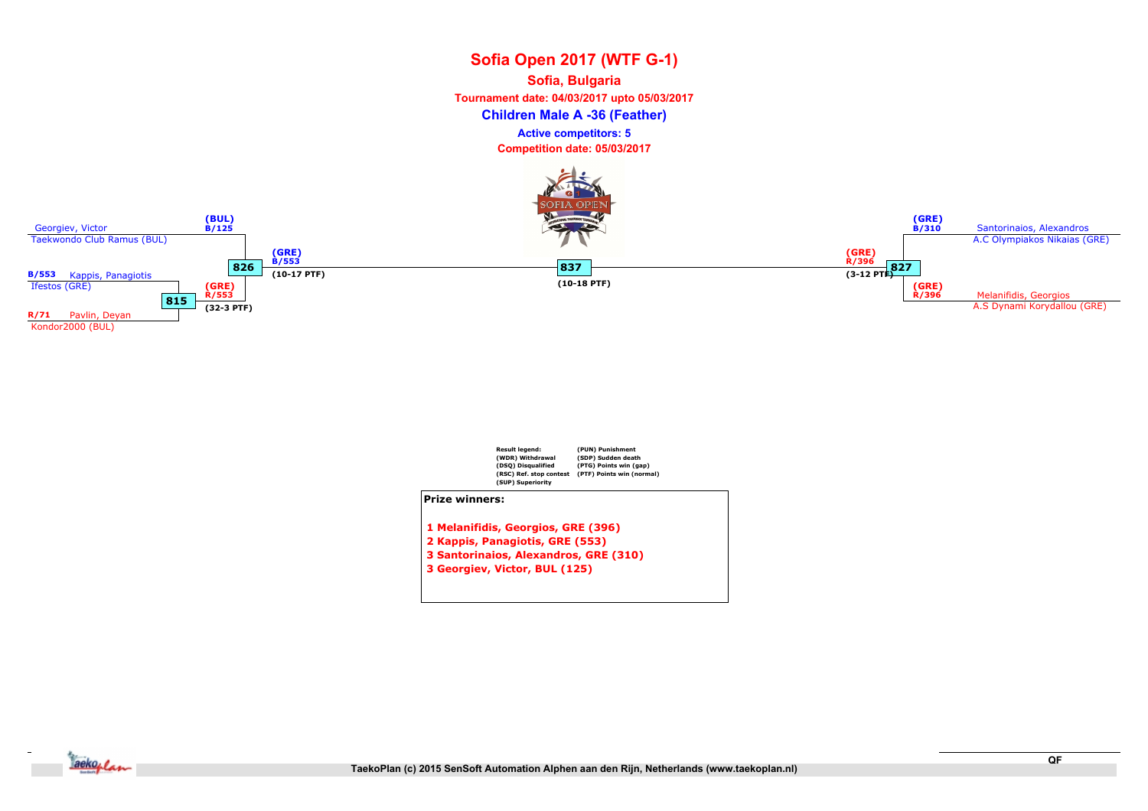# Sofia Open 2017 (WTF G-1) Children Male A -36 (Feather) Sofia, Bulgaria Tournament date: 04/03/2017 upto 05/03/2017 Competition date: 05/03/2017 Active competitors: 5





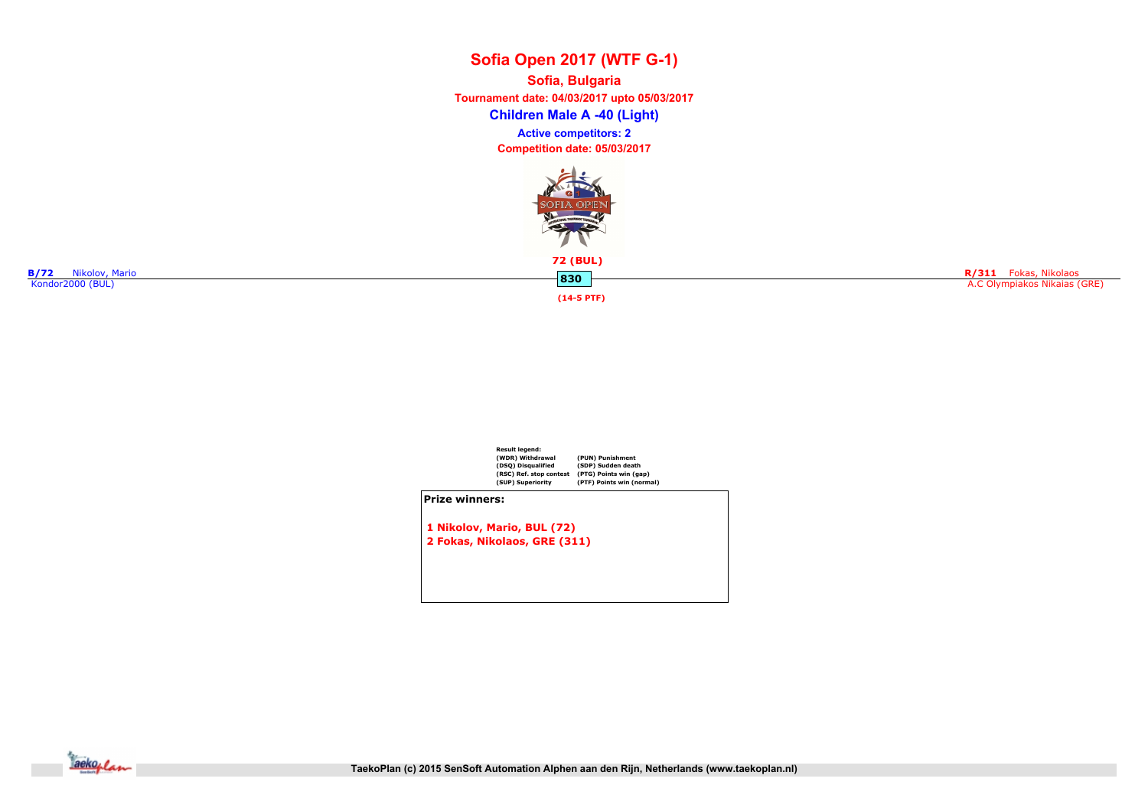Children Male A -40 (Light) Sofia, Bulgaria Tournament date: 04/03/2017 upto 05/03/2017 Competition date: 05/03/2017 Active competitors: 2



R/311 Fokas, Nikolaos A.C Olympiakos Nikaias (GRE)

830 B/72 Nikolov, Mario 2008<br>Kondor2000 (BUL) B/R (BUL)

(14-5 PTF)



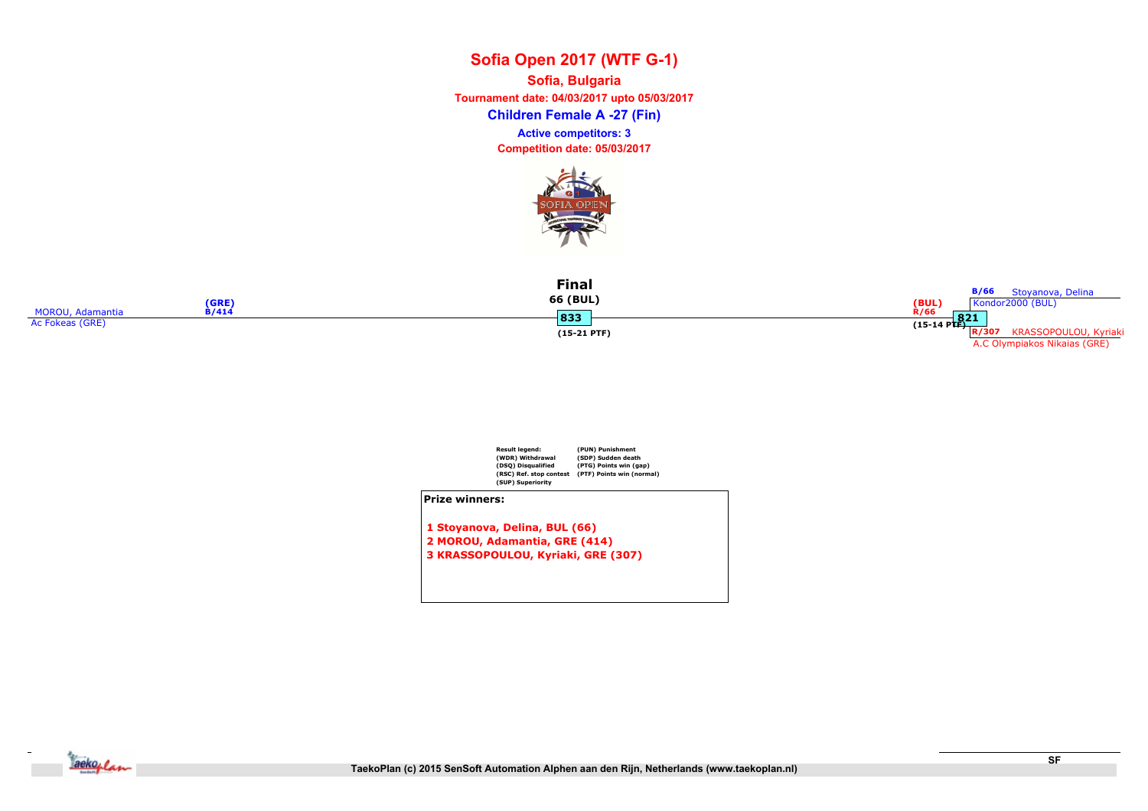Children Female A -27 (Fin) Sofia, Bulgaria Tournament date: 04/03/2017 upto 05/03/2017 Competition date: 05/03/2017 Active competitors: 3



|                  | (GRE                        | <b>Final</b><br>66 (BUL) | B/66<br>Stoyanova, Delina<br>$(BUL)$<br>R/66<br>Kondor2000 (BUL) |
|------------------|-----------------------------|--------------------------|------------------------------------------------------------------|
| MOROU, Adamantia | <b>B/414</b><br><b>.</b> ചെ |                          | 821                                                              |
| Ac Fokeas (GRE)  | ၊၀၁၁                        |                          | $(15-14 \text{ PTF})$                                            |
|                  |                             | $(15-21$ PTF)            | R/307<br>KRASSOPOULOU, Kyriaki                                   |
|                  |                             |                          | A.C Olympiakos Nikaias (GRE)                                     |



1 Stoyanova, Delina, BUL (66) 2 MOROU, Adamantia, GRE (414) 3 KRASSOPOULOU, Kyriaki, GRE (307)

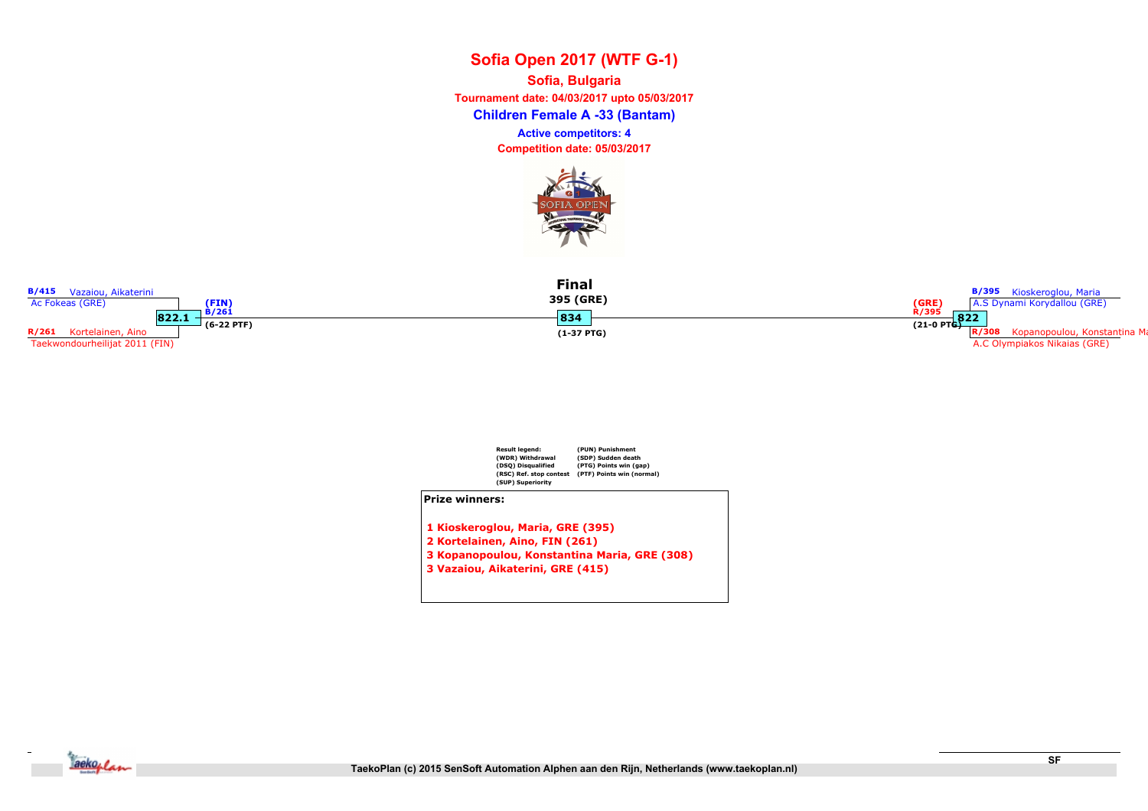Children Female A -33 (Bantam) Sofia, Bulgaria Tournament date: 04/03/2017 upto 05/03/2017 Competition date: 05/03/2017 Active competitors: 4



| <b>B/415</b> Vazaiou, Aikaterini<br>Ac Fokeas (GRE)                   | (FIN                  | <b>Final</b><br>395 (GRE) | <b>B/395</b> Kioskeroglou, Maria<br>(GRE)<br>A.S Dynami Korydallou (GRE)                       |
|-----------------------------------------------------------------------|-----------------------|---------------------------|------------------------------------------------------------------------------------------------|
| 822.1<br>R/261<br>Kortelainen, Aino<br>Taekwondourheilijat 2011 (FIN) | B/261<br>$(6-22$ PTF) | 834<br>$(1-37$ PTG)       | R/395<br>822<br>$(21-0) P T G$<br>Kopanopoulou, Konstantina Ma<br>A.C Olympiakos Nikaias (GRE) |



- 2 Kortelainen, Aino, FIN (261)
- 3 Kopanopoulou, Konstantina Maria, GRE (308)
- 3 Vazaiou, Aikaterini, GRE (415)

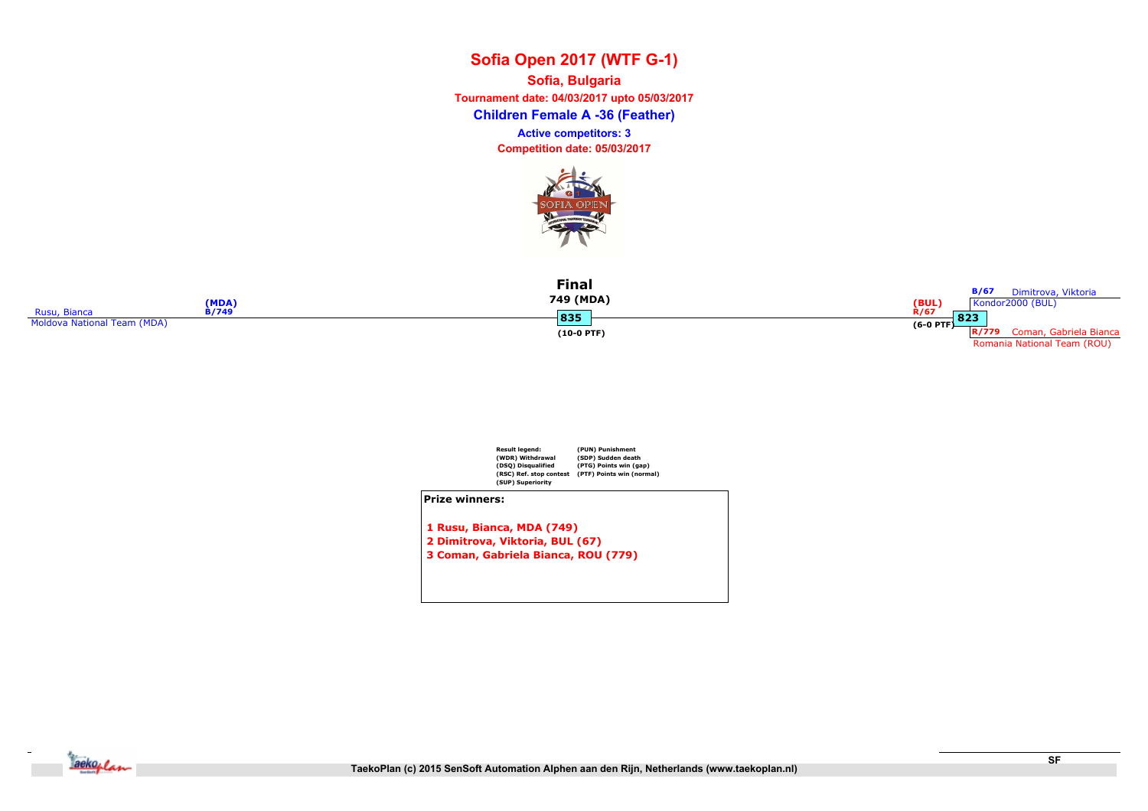Children Female A -36 (Feather) Sofia, Bulgaria Tournament date: 04/03/2017 upto 05/03/2017 Competition date: 05/03/2017 Active competitors: 3



|                             | (MDA)        | <b>Final</b><br>749 (MDA) | <b>B/67</b><br>Dimitrova, Viktoria<br>(BUL)<br>Kondor2000 (BUL) |
|-----------------------------|--------------|---------------------------|-----------------------------------------------------------------|
| <b>Rusu, Bianca</b>         | <b>B/749</b> | 835                       | R/67                                                            |
| Moldova National Team (MDA) |              |                           | $(6-0$ PTF $)$ 823                                              |
|                             |              | $(10-0$ PTF)              | Coman, Gabriela Bianca<br>R/779                                 |
|                             |              |                           | Romania National Team (ROU)                                     |



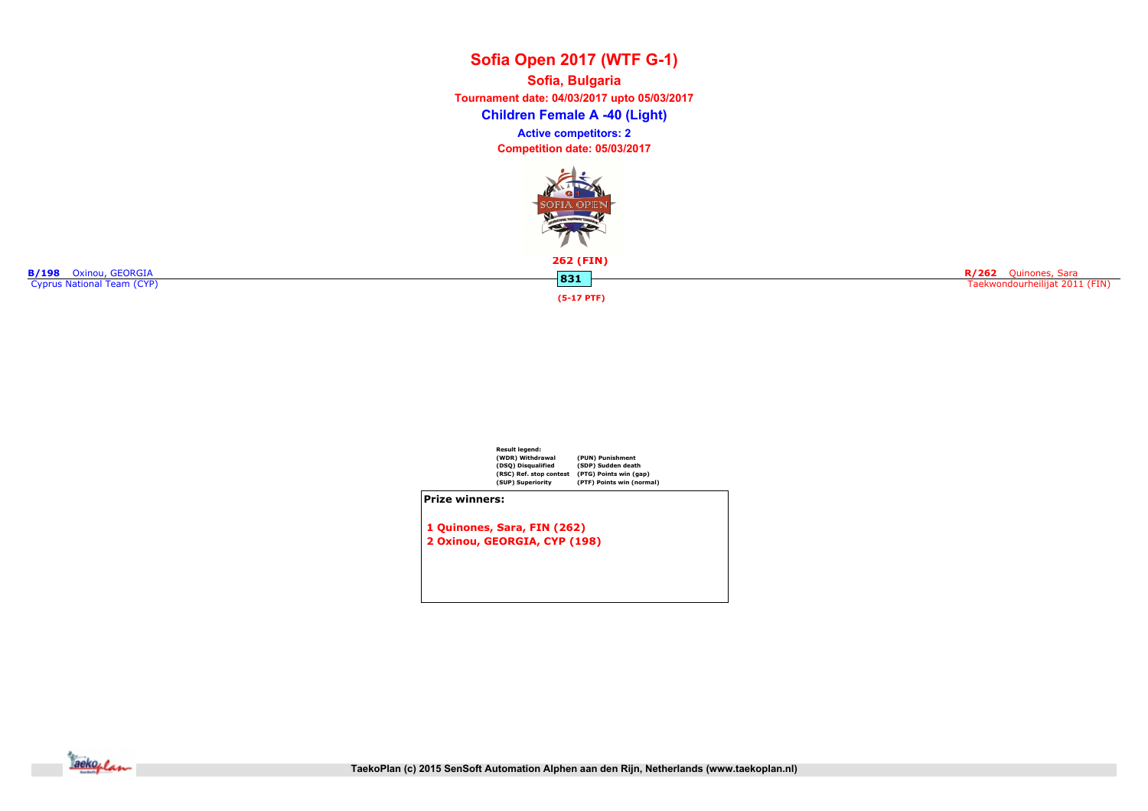Children Female A -40 (Light) Sofia, Bulgaria Tournament date: 04/03/2017 upto 05/03/2017 Competition date: 05/03/2017 Active competitors: 2



262 (FIN)

**B/198** Oxinou, GEORGIA **BOOK CONSTRUCTES AND STATE OF A SAMPLE STATES ON A SAMPLE STATES OF A SAMPLE STATES OF A SAMPLE STATES OF A SAMPLE STATES OF A SAMPLE STATES OF A SAMPLE STATES OF A SAMPLE STATES OF A SAMPLE STATES** 

(5-17 PTF)

R/262 Quinones, Sara Taekwondourheilijat 2011 (FIN)

Result legend: (WDR) Withdrawal (DSQ) Disqualified (RSC) Ref. stop contest (SUP) Superiority (PUN) Punishment (SDP) Sudden death (PTG) Points win (gap) (PTF) Points win (normal) Prize winners: 1 Quinones, Sara, FIN (262) 2 Oxinou, GEORGIA, CYP (198)